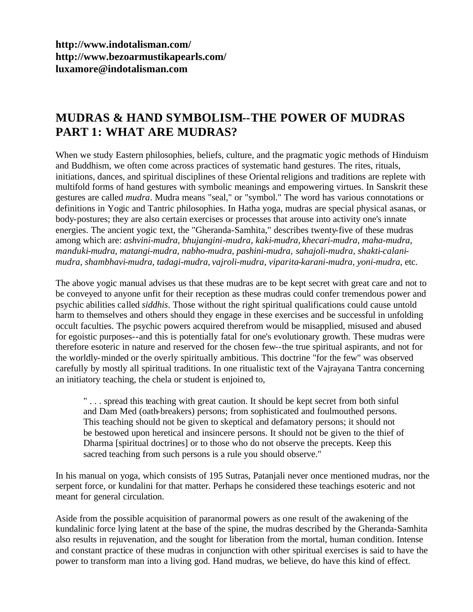**<http://www.indotalisman.com/> <http://www.bezoarmustikapearls.com/> luxamore@indotalisman.com**

# **MUDRAS & HAND SYMBOLISM--THE POWER OF MUDRAS PART 1: WHAT ARE MUDRAS?**

When we study Eastern philosophies, beliefs, culture, and the pragmatic yogic methods of Hinduism and Buddhism, we often come across practices of systematic hand gestures. The rites, rituals, initiations, dances, and spiritual disciplines of these Oriental religions and traditions are replete with multifold forms of hand gestures with symbolic meanings and empowering virtues. In Sanskrit these gestures are called *mudra*. Mudra means "seal," or "symbol." The word has various connotations or definitions in Yogic and Tantric philosophies. In Hatha yoga, mudras are special physical asanas, or body-postures; they are also certain exercises or processes that arouse into activity one's innate energies. The ancient yogic text, the "Gheranda-Samhita," describes twenty-five of these mudras among which are: *ashvini-mudra, bhujangini-mudra, kaki-mudra, khecari-mudra, maha-mudra, manduki-mudra, matangi-mudra, nabho-mudra, pashini-mudra, sahajoli-mudra, shakti-calanimudra, shambhavi-mudra, tadagi-mudra, vajroli-mudra, viparita-karani-mudra, yoni-mudra,* etc.

The above yogic manual advises us that these mudras are to be kept secret with great care and not to be conveyed to anyone unfit for their reception as these mudras could confer tremendous power and psychic abilities called *siddhis*. Those without the right spiritual qualifications could cause untold harm to themselves and others should they engage in these exercises and be successful in unfolding occult faculties. The psychic powers acquired therefrom would be misapplied, misused and abused for egoistic purposes--and this is potentially fatal for one's evolutionary growth. These mudras were therefore esoteric in nature and reserved for the chosen few--the true spiritual aspirants, and not for the worldly-minded or the overly spiritually ambitious. This doctrine "for the few" was observed carefully by mostly all spiritual traditions. In one ritualistic text of the Vajrayana Tantra concerning an initiatory teaching, the chela or student is enjoined to,

" . . . spread this teaching with great caution. It should be kept secret from both sinful and Dam Med (oath-breakers) persons; from sophisticated and foulmouthed persons. This teaching should not be given to skeptical and defamatory persons; it should not be bestowed upon heretical and insincere persons. It should not be given to the thief of Dharma [spiritual doctrines] or to those who do not observe the precepts. Keep this sacred teaching from such persons is a rule you should observe."

In his manual on yoga, which consists of 195 Sutras, Patanjali never once mentioned mudras, nor the serpent force, or kundalini for that matter. Perhaps he considered these teachings esoteric and not meant for general circulation.

Aside from the possible acquisition of paranormal powers as one result of the awakening of the kundalinic force lying latent at the base of the spine, the mudras described by the Gheranda-Samhita also results in rejuvenation, and the sought for liberation from the mortal, human condition. Intense and constant practice of these mudras in conjunction with other spiritual exercises is said to have the power to transform man into a living god. Hand mudras, we believe, do have this kind of effect.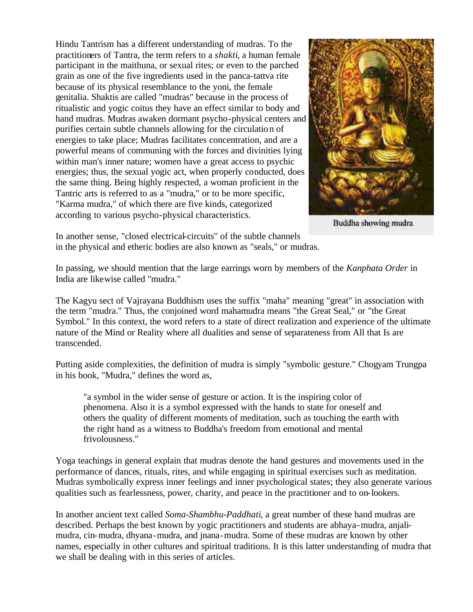Hindu Tantrism has a different understanding of mudras. To the practitioners of Tantra, the term refers to a *shakti*, a human female participant in the maithuna, or sexual rites; or even to the parched grain as one of the five ingredients used in the panca-tattva rite because of its physical resemblance to the yoni, the female genitalia. Shaktis are called "mudras" because in the process of ritualistic and yogic coitus they have an effect similar to body and hand mudras. Mudras awaken dormant psycho-physical centers and purifies certain subtle channels allowing for the circulation of energies to take place; Mudras facilitates concentration, and are a powerful means of communing with the forces and divinities lying within man's inner nature; women have a great access to psychic energies; thus, the sexual yogic act, when properly conducted, does the same thing. Being highly respected, a woman proficient in the Tantric arts is referred to as a "mudra," or to be more specific, "Karma mudra," of which there are five kinds, categorized according to various psycho-physical characteristics.



Buddha showing mudra

In another sense, "closed electrical-circuits" of the subtle channels in the physical and etheric bodies are also known as "seals," or mudras.

In passing, we should mention that the large earrings worn by members of the *Kanphata Order* in India are likewise called "mudra."

The Kagyu sect of Vajrayana Buddhism uses the suffix "maha" meaning "great" in association with the term "mudra." Thus, the conjoined word mahamudra means "the Great Seal," or "the Great Symbol." In this context, the word refers to a state of direct realization and experience of the ultimate nature of the Mind or Reality where all dualities and sense of separateness from All that Is are transcended.

Putting aside complexities, the definition of mudra is simply "symbolic gesture." Chogyam Trungpa in his book, "Mudra," defines the word as,

"a symbol in the wider sense of gesture or action. It is the inspiring color of phenomena. Also it is a symbol expressed with the hands to state for oneself and others the quality of different moments of meditation, such as touching the earth with the right hand as a witness to Buddha's freedom from emotional and mental frivolousness."

Yoga teachings in general explain that mudras denote the hand gestures and movements used in the performance of dances, rituals, rites, and while engaging in spiritual exercises such as meditation. Mudras symbolically express inner feelings and inner psychological states; they also generate various qualities such as fearlessness, power, charity, and peace in the practitioner and to on-lookers.

In another ancient text called *Soma-Shambhu-Paddhati*, a great number of these hand mudras are described. Perhaps the best known by yogic practitioners and students are abhaya-mudra, anjalimudra, cin-mudra, dhyana-mudra, and jnana-mudra. Some of these mudras are known by other names, especially in other cultures and spiritual traditions. It is this latter understanding of mudra that we shall be dealing with in this series of articles.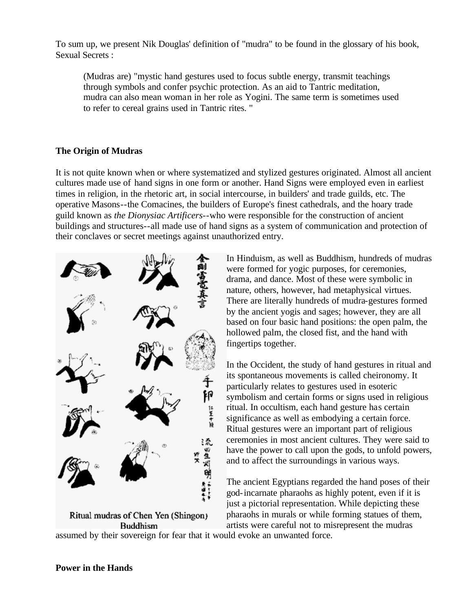To sum up, we present Nik Douglas' definition of "mudra" to be found in the glossary of his book, Sexual Secrets :

(Mudras are) "mystic hand gestures used to focus subtle energy, transmit teachings through symbols and confer psychic protection. As an aid to Tantric meditation, mudra can also mean woman in her role as Yogini. The same term is sometimes used to refer to cereal grains used in Tantric rites. "

## **The Origin of Mudras**

It is not quite known when or where systematized and stylized gestures originated. Almost all ancient cultures made use of hand signs in one form or another. Hand Signs were employed even in earliest times in religion, in the rhetoric art, in social intercourse, in builders' and trade guilds, etc. The operative Masons--the Comacines, the builders of Europe's finest cathedrals, and the hoary trade guild known as *the Dionysiac Artificers*--who were responsible for the construction of ancient buildings and structures--all made use of hand signs as a system of communication and protection of their conclaves or secret meetings against unauthorized entry.



Ritual mudras of Chen Yen (Shingon) Buddhism

In Hinduism, as well as Buddhism, hundreds of mudras were formed for yogic purposes, for ceremonies, drama, and dance. Most of these were symbolic in nature, others, however, had metaphysical virtues. There are literally hundreds of mudra-gestures formed by the ancient yogis and sages; however, they are all based on four basic hand positions: the open palm, the hollowed palm, the closed fist, and the hand with fingertips together.

In the Occident, the study of hand gestures in ritual and its spontaneous movements is called cheironomy. It particularly relates to gestures used in esoteric symbolism and certain forms or signs used in religious ritual. In occultism, each hand gesture has certain significance as well as embodying a certain force. Ritual gestures were an important part of religious ceremonies in most ancient cultures. They were said to have the power to call upon the gods, to unfold powers, and to affect the surroundings in various ways.

The ancient Egyptians regarded the hand poses of their god-incarnate pharaohs as highly potent, even if it is just a pictorial representation. While depicting these pharaohs in murals or while forming statues of them, artists were careful not to misrepresent the mudras

assumed by their sovereign for fear that it would evoke an unwanted force.

## **Power in the Hands**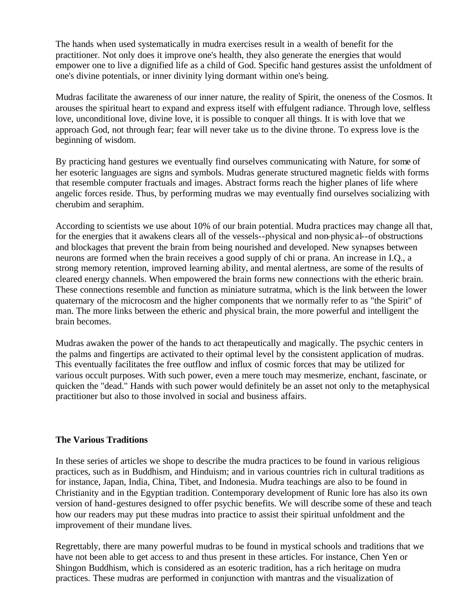The hands when used systematically in mudra exercises result in a wealth of benefit for the practitioner. Not only does it improve one's health, they also generate the energies that would empower one to live a dignified life as a child of God. Specific hand gestures assist the unfoldment of one's divine potentials, or inner divinity lying dormant within one's being.

Mudras facilitate the awareness of our inner nature, the reality of Spirit, the oneness of the Cosmos. It arouses the spiritual heart to expand and express itself with effulgent radiance. Through love, selfless love, unconditional love, divine love, it is possible to conquer all things. It is with love that we approach God, not through fear; fear will never take us to the divine throne. To express love is the beginning of wisdom.

By practicing hand gestures we eventually find ourselves communicating with Nature, for some of her esoteric languages are signs and symbols. Mudras generate structured magnetic fields with forms that resemble computer fractuals and images. Abstract forms reach the higher planes of life where angelic forces reside. Thus, by performing mudras we may eventually find ourselves socializing with cherubim and seraphim.

According to scientists we use about 10% of our brain potential. Mudra practices may change all that, for the energies that it awakens clears all of the vessels--physical and non-physical--of obstructions and blockages that prevent the brain from being nourished and developed. New synapses between neurons are formed when the brain receives a good supply of chi or prana. An increase in I.Q., a strong memory retention, improved learning ability, and mental alertness, are some of the results of cleared energy channels. When empowered the brain forms new connections with the etheric brain. These connections resemble and function as miniature sutratma, which is the link between the lower quaternary of the microcosm and the higher components that we normally refer to as "the Spirit" of man. The more links between the etheric and physical brain, the more powerful and intelligent the brain becomes.

Mudras awaken the power of the hands to act therapeutically and magically. The psychic centers in the palms and fingertips are activated to their optimal level by the consistent application of mudras. This eventually facilitates the free outflow and influx of cosmic forces that may be utilized for various occult purposes. With such power, even a mere touch may mesmerize, enchant, fascinate, or quicken the "dead." Hands with such power would definitely be an asset not only to the metaphysical practitioner but also to those involved in social and business affairs.

#### **The Various Traditions**

In these series of articles we shope to describe the mudra practices to be found in various religious practices, such as in Buddhism, and Hinduism; and in various countries rich in cultural traditions as for instance, Japan, India, China, Tibet, and Indonesia. Mudra teachings are also to be found in Christianity and in the Egyptian tradition. Contemporary development of Runic lore has also its own version of hand-gestures designed to offer psychic benefits. We will describe some of these and teach how our readers may put these mudras into practice to assist their spiritual unfoldment and the improvement of their mundane lives.

Regrettably, there are many powerful mudras to be found in mystical schools and traditions that we have not been able to get access to and thus present in these articles. For instance, Chen Yen or Shingon Buddhism, which is considered as an esoteric tradition, has a rich heritage on mudra practices. These mudras are performed in conjunction with mantras and the visualization of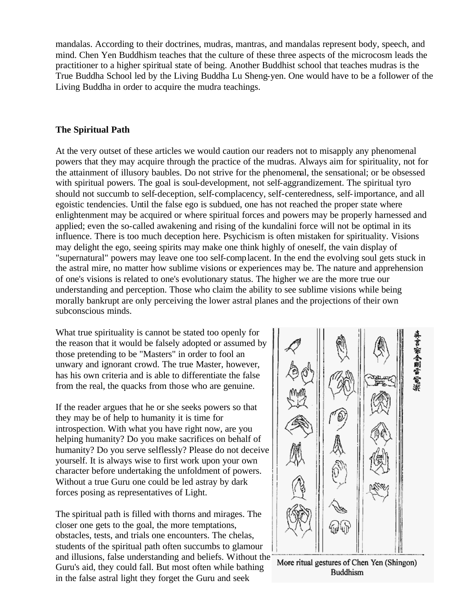mandalas. According to their doctrines, mudras, mantras, and mandalas represent body, speech, and mind. Chen Yen Buddhism teaches that the culture of these three aspects of the microcosm leads the practitioner to a higher spiritual state of being. Another Buddhist school that teaches mudras is the True Buddha School led by the Living Buddha Lu Sheng-yen. One would have to be a follower of the Living Buddha in order to acquire the mudra teachings.

### **The Spiritual Path**

At the very outset of these articles we would caution our readers not to misapply any phenomenal powers that they may acquire through the practice of the mudras. Always aim for spirituality, not for the attainment of illusory baubles. Do not strive for the phenomenal, the sensational; or be obsessed with spiritual powers. The goal is soul-development, not self-aggrandizement. The spiritual tyro should not succumb to self-deception, self-complacency, self-centeredness, self-importance, and all egoistic tendencies. Until the false ego is subdued, one has not reached the proper state where enlightenment may be acquired or where spiritual forces and powers may be properly harnessed and applied; even the so-called awakening and rising of the kundalini force will not be optimal in its influence. There is too much deception here. Psychicism is often mistaken for spirituality. Visions may delight the ego, seeing spirits may make one think highly of oneself, the vain display of "supernatural" powers may leave one too self-complacent. In the end the evolving soul gets stuck in the astral mire, no matter how sublime visions or experiences may be. The nature and apprehension of one's visions is related to one's evolutionary status. The higher we are the more true our understanding and perception. Those who claim the ability to see sublime visions while being morally bankrupt are only perceiving the lower astral planes and the projections of their own subconscious minds.

What true spirituality is cannot be stated too openly for the reason that it would be falsely adopted or assumed by those pretending to be "Masters" in order to fool an unwary and ignorant crowd. The true Master, however, has his own criteria and is able to differentiate the false from the real, the quacks from those who are genuine.

If the reader argues that he or she seeks powers so that they may be of help to humanity it is time for introspection. With what you have right now, are you helping humanity? Do you make sacrifices on behalf of humanity? Do you serve selflessly? Please do not deceive yourself. It is always wise to first work upon your own character before undertaking the unfoldment of powers. Without a true Guru one could be led astray by dark forces posing as representatives of Light.

The spiritual path is filled with thorns and mirages. The closer one gets to the goal, the more temptations, obstacles, tests, and trials one encounters. The chelas, students of the spiritual path often succumbs to glamour and illusions, false understanding and beliefs. Without the Guru's aid, they could fall. But most often while bathing in the false astral light they forget the Guru and seek



More ritual gestures of Chen Yen (Shingon) **Buddhism**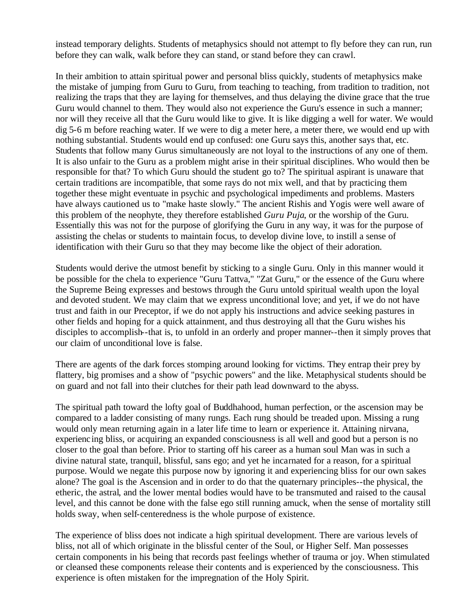instead temporary delights. Students of metaphysics should not attempt to fly before they can run, run before they can walk, walk before they can stand, or stand before they can crawl.

In their ambition to attain spiritual power and personal bliss quickly, students of metaphysics make the mistake of jumping from Guru to Guru, from teaching to teaching, from tradition to tradition, not realizing the traps that they are laying for themselves, and thus delaying the divine grace that the true Guru would channel to them. They would also not experience the Guru's essence in such a manner; nor will they receive all that the Guru would like to give. It is like digging a well for water. We would dig 5-6 m before reaching water. If we were to dig a meter here, a meter there, we would end up with nothing substantial. Students would end up confused: one Guru says this, another says that, etc. Students that follow many Gurus simultaneously are not loyal to the instructions of any one of them. It is also unfair to the Guru as a problem might arise in their spiritual disciplines. Who would then be responsible for that? To which Guru should the student go to? The spiritual aspirant is unaware that certain traditions are incompatible, that some rays do not mix well, and that by practicing them together these might eventuate in psychic and psychological impediments and problems. Masters have always cautioned us to "make haste slowly." The ancient Rishis and Yogis were well aware of this problem of the neophyte, they therefore established *Guru Puja*, or the worship of the Guru. Essentially this was not for the purpose of glorifying the Guru in any way, it was for the purpose of assisting the chelas or students to maintain focus, to develop divine love, to instill a sense of identification with their Guru so that they may become like the object of their adoration.

Students would derive the utmost benefit by sticking to a single Guru. Only in this manner would it be possible for the chela to experience "Guru Tattva," "Zat Guru," or the essence of the Guru where the Supreme Being expresses and bestows through the Guru untold spiritual wealth upon the loyal and devoted student. We may claim that we express unconditional love; and yet, if we do not have trust and faith in our Preceptor, if we do not apply his instructions and advice seeking pastures in other fields and hoping for a quick attainment, and thus destroying all that the Guru wishes his disciples to accomplish--that is, to unfold in an orderly and proper manner--then it simply proves that our claim of unconditional love is false.

There are agents of the dark forces stomping around looking for victims. They entrap their prey by flattery, big promises and a show of "psychic powers" and the like. Metaphysical students should be on guard and not fall into their clutches for their path lead downward to the abyss.

The spiritual path toward the lofty goal of Buddhahood, human perfection, or the ascension may be compared to a ladder consisting of many rungs. Each rung should be treaded upon. Missing a rung would only mean returning again in a later life time to learn or experience it. Attaining nirvana, experiencing bliss, or acquiring an expanded consciousness is all well and good but a person is no closer to the goal than before. Prior to starting off his career as a human soul Man was in such a divine natural state, tranquil, blissful, sans ego; and yet he incarnated for a reason, for a spiritual purpose. Would we negate this purpose now by ignoring it and experiencing bliss for our own sakes alone? The goal is the Ascension and in order to do that the quaternary principles--the physical, the etheric, the astral, and the lower mental bodies would have to be transmuted and raised to the causal level, and this cannot be done with the false ego still running amuck, when the sense of mortality still holds sway, when self-centeredness is the whole purpose of existence.

The experience of bliss does not indicate a high spiritual development. There are various levels of bliss, not all of which originate in the blissful center of the Soul, or Higher Self. Man possesses certain components in his being that records past feelings whether of trauma or joy. When stimulated or cleansed these components release their contents and is experienced by the consciousness. This experience is often mistaken for the impregnation of the Holy Spirit.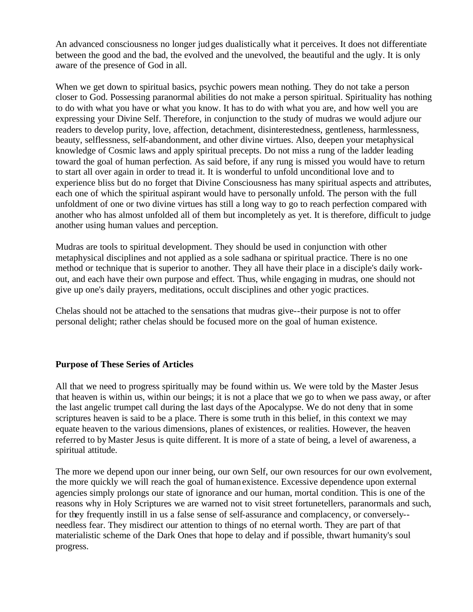An advanced consciousness no longer judges dualistically what it perceives. It does not differentiate between the good and the bad, the evolved and the unevolved, the beautiful and the ugly. It is only aware of the presence of God in all.

When we get down to spiritual basics, psychic powers mean nothing. They do not take a person closer to God. Possessing paranormal abilities do not make a person spiritual. Spirituality has nothing to do with what you have or what you know. It has to do with what you are, and how well you are expressing your Divine Self. Therefore, in conjunction to the study of mudras we would adjure our readers to develop purity, love, affection, detachment, disinterestedness, gentleness, harmlessness, beauty, selflessness, self-abandonment, and other divine virtues. Also, deepen your metaphysical knowledge of Cosmic laws and apply spiritual precepts. Do not miss a rung of the ladder leading toward the goal of human perfection. As said before, if any rung is missed you would have to return to start all over again in order to tread it. It is wonderful to unfold unconditional love and to experience bliss but do no forget that Divine Consciousness has many spiritual aspects and attributes, each one of which the spiritual aspirant would have to personally unfold. The person with the full unfoldment of one or two divine virtues has still a long way to go to reach perfection compared with another who has almost unfolded all of them but incompletely as yet. It is therefore, difficult to judge another using human values and perception.

Mudras are tools to spiritual development. They should be used in conjunction with other metaphysical disciplines and not applied as a sole sadhana or spiritual practice. There is no one method or technique that is superior to another. They all have their place in a disciple's daily workout, and each have their own purpose and effect. Thus, while engaging in mudras, one should not give up one's daily prayers, meditations, occult disciplines and other yogic practices.

Chelas should not be attached to the sensations that mudras give--their purpose is not to offer personal delight; rather chelas should be focused more on the goal of human existence.

## **Purpose of These Series of Articles**

All that we need to progress spiritually may be found within us. We were told by the Master Jesus that heaven is within us, within our beings; it is not a place that we go to when we pass away, or after the last angelic trumpet call during the last days of the Apocalypse. We do not deny that in some scriptures heaven is said to be a place. There is some truth in this belief, in this context we may equate heaven to the various dimensions, planes of existences, or realities. However, the heaven referred to by Master Jesus is quite different. It is more of a state of being, a level of awareness, a spiritual attitude.

The more we depend upon our inner being, our own Self, our own resources for our own evolvement, the more quickly we will reach the goal of human existence. Excessive dependence upon external agencies simply prolongs our state of ignorance and our human, mortal condition. This is one of the reasons why in Holy Scriptures we are warned not to visit street fortunetellers, paranormals and such, for they frequently instill in us a false sense of self-assurance and complacency, or conversely- needless fear. They misdirect our attention to things of no eternal worth. They are part of that materialistic scheme of the Dark Ones that hope to delay and if possible, thwart humanity's soul progress.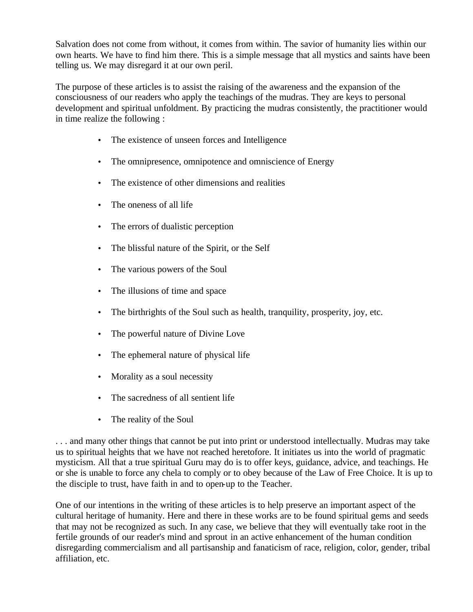Salvation does not come from without, it comes from within. The savior of humanity lies within our own hearts. We have to find him there. This is a simple message that all mystics and saints have been telling us. We may disregard it at our own peril.

The purpose of these articles is to assist the raising of the awareness and the expansion of the consciousness of our readers who apply the teachings of the mudras. They are keys to personal development and spiritual unfoldment. By practicing the mudras consistently, the practitioner would in time realize the following :

- The existence of unseen forces and Intelligence
- The omnipresence, omnipotence and omniscience of Energy
- The existence of other dimensions and realities
- The oneness of all life
- The errors of dualistic perception
- The blissful nature of the Spirit, or the Self
- The various powers of the Soul
- The illusions of time and space
- The birthrights of the Soul such as health, tranquility, prosperity, joy, etc.
- The powerful nature of Divine Love
- The ephemeral nature of physical life
- Morality as a soul necessity
- The sacredness of all sentient life
- The reality of the Soul

. . . and many other things that cannot be put into print or understood intellectually. Mudras may take us to spiritual heights that we have not reached heretofore. It initiates us into the world of pragmatic mysticism. All that a true spiritual Guru may do is to offer keys, guidance, advice, and teachings. He or she is unable to force any chela to comply or to obey because of the Law of Free Choice. It is up to the disciple to trust, have faith in and to open-up to the Teacher.

One of our intentions in the writing of these articles is to help preserve an important aspect of the cultural heritage of humanity. Here and there in these works are to be found spiritual gems and seeds that may not be recognized as such. In any case, we believe that they will eventually take root in the fertile grounds of our reader's mind and sprout in an active enhancement of the human condition disregarding commercialism and all partisanship and fanaticism of race, religion, color, gender, tribal affiliation, etc.